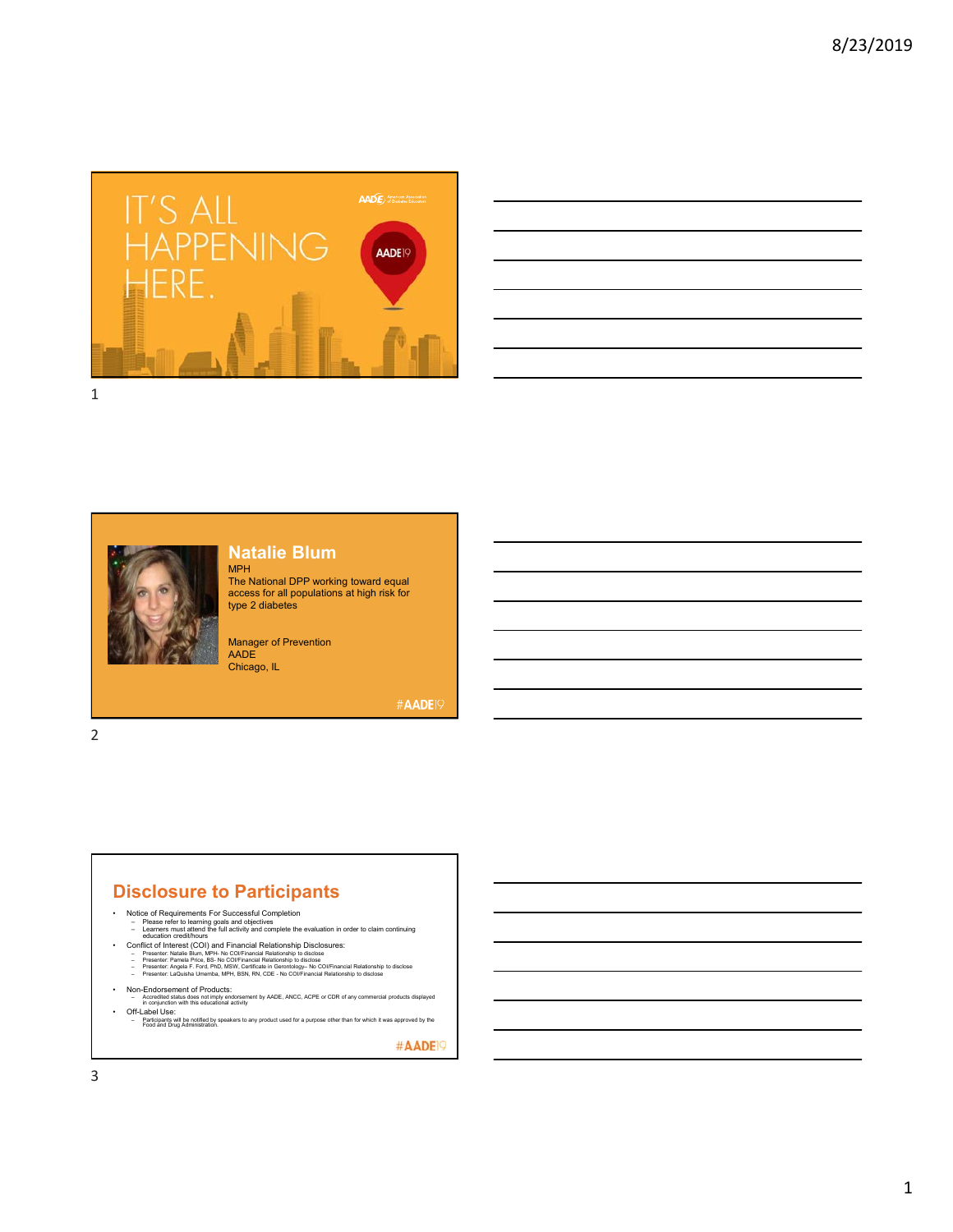

| <u> Alexandro de la contrada de la contrada de la contrada de la contrada de la contrada de la contrada de la co</u> |  |                          |
|----------------------------------------------------------------------------------------------------------------------|--|--------------------------|
| and the control of the control of the control of the control of the control of the control of the control of the     |  |                          |
|                                                                                                                      |  |                          |
| and the control of the control of the control of the control of the control of the control of the control of the     |  | $\overline{\phantom{a}}$ |
|                                                                                                                      |  |                          |
|                                                                                                                      |  |                          |
|                                                                                                                      |  |                          |

## **Natalie Blum**

MPH The National DPP working toward equal access for all populations at high risk for type 2 diabetes

Manager of Prevention AADE Chicago, IL

#AADE19

2

## **Disclosure to Participants**

- 
- Notice of Requirements For Successful Completion<br>- Please refer to learning goals and objectives<br>- Learners must attend the full activity and complete the evaluation in order to claim continuing<br>- Learners must attend th
	-
	-
	-
- 
- Non-Endorsement of Products:<br>– Accredited status does not imply endorsement by AADE, ANCC, ACPE or CDR of any commercial products displayed<br>– in conjunction with this educational activity
- Off-Label Use:<br>– Participants will be notified by speakers to any product used for a purpose other than for which it was approved by the<br>Food and Drug Administration.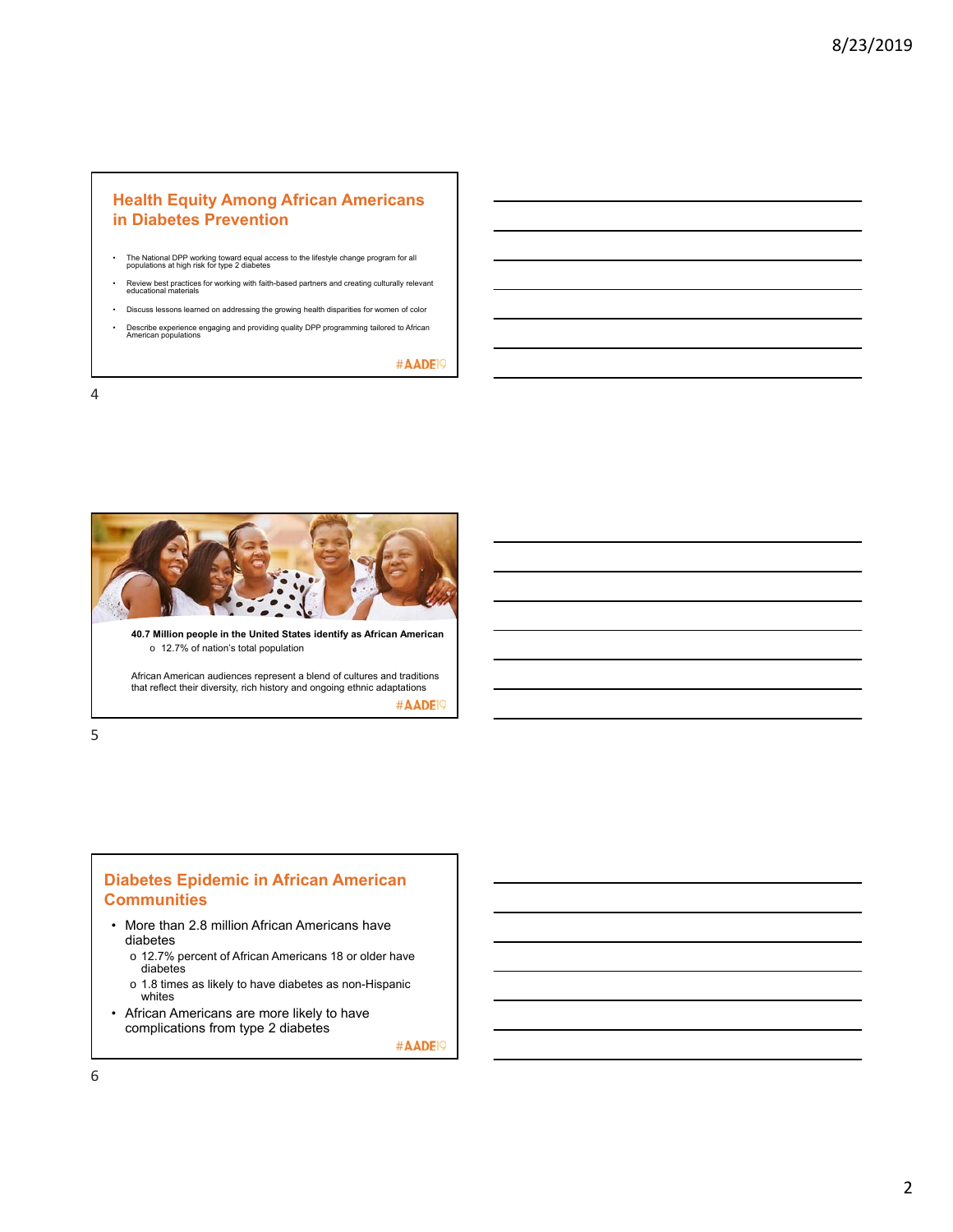### **Health Equity Among African Americans in Diabetes Prevention**

- The National DPP working toward equal access to the lifestyle change program for all populations at high risk for type 2 diabetes
- Review best practices for working with faith-based partners and creating culturally relevant<br>educational materials
- Discuss lessons learned on addressing the growing health disparities for women of color
- Describe experience engaging and providing quality DPP programming tailored to African American populations

#AADE<sup>19</sup>

4



5

### **Diabetes Epidemic in African American Communities**

- More than 2.8 million African Americans have diabetes
	- o 12.7% percent of African Americans 18 or older have diabetes
	- o 1.8 times as likely to have diabetes as non-Hispanic whites
- African Americans are more likely to have complications from type 2 diabetes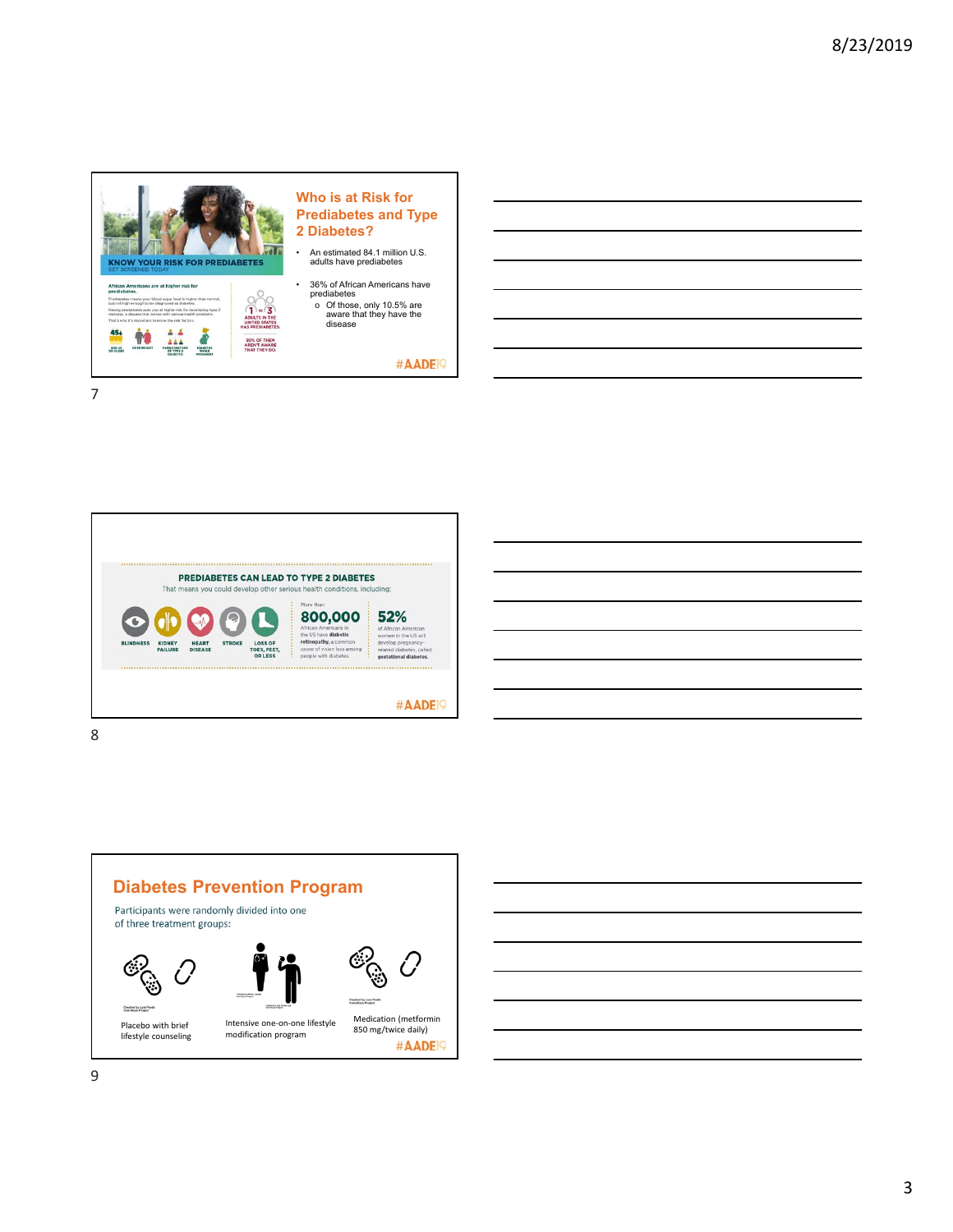



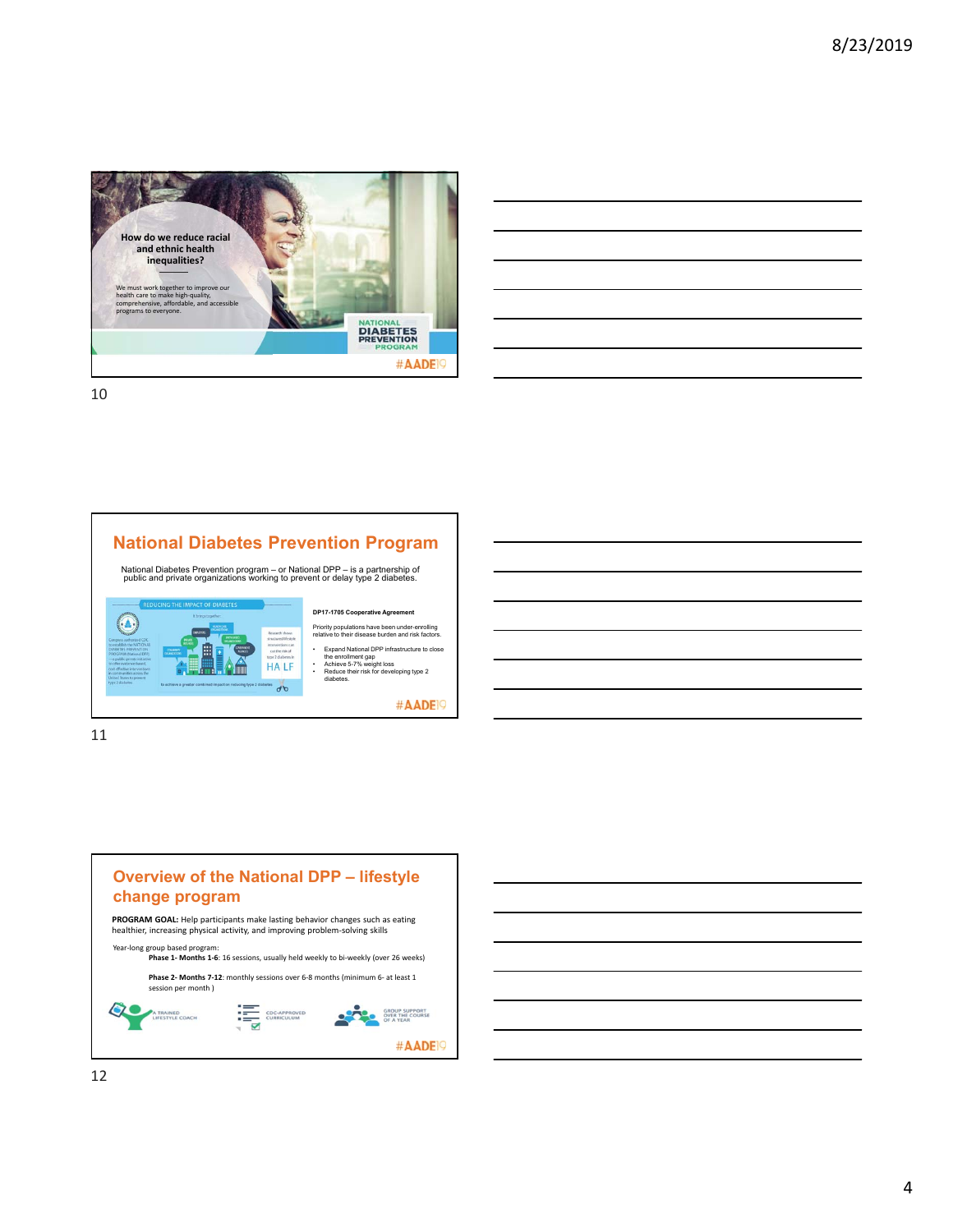

| <u> Alexandro de la contrada de la contrada de la contrada de la contrada de la contrada de la contrada de la co</u> |  |  |  |
|----------------------------------------------------------------------------------------------------------------------|--|--|--|
| <u> Andreas Andreas Andreas Andreas Andreas Andreas Andreas Andreas Andreas Andreas Andreas Andreas Andreas Andr</u> |  |  |  |
|                                                                                                                      |  |  |  |
|                                                                                                                      |  |  |  |
|                                                                                                                      |  |  |  |
| <u> Alexandro de la contrada de la contrada de la contrada de la contrada de la contrada de la contrada de la co</u> |  |  |  |
|                                                                                                                      |  |  |  |

11

## **National Diabetes Prevention Program**

National Diabetes Prevention program – or National DPP – is a partnership of public and private organizations working to prevent or delay type 2 diabetes.



Priority populations have been under-enrolling relative to their disease burden and risk factors.

• Expand National DPP infrastructure to close the enrollment gap • Achieve 5-7% weight loss • Reduce their risk for developing type 2

diabetes

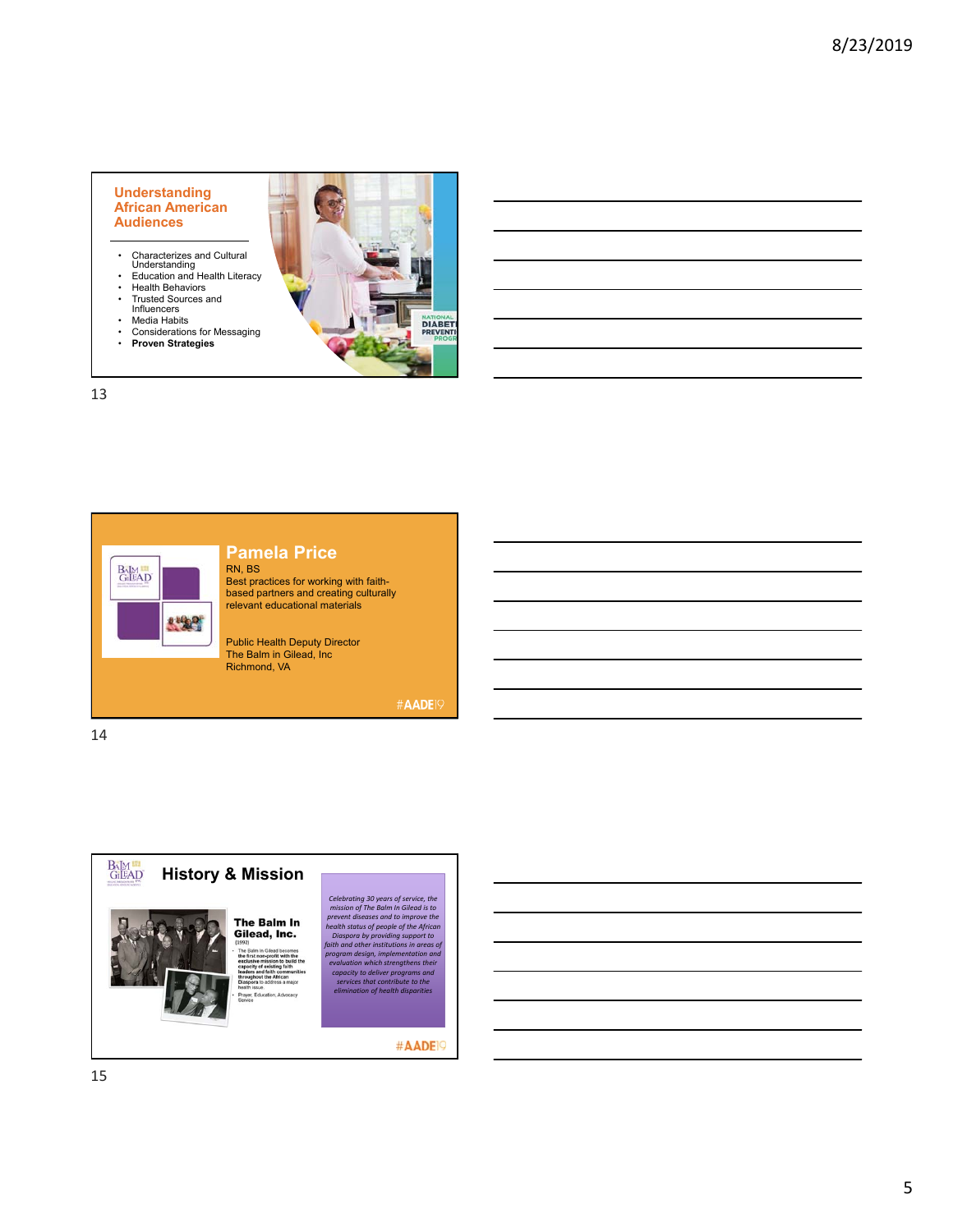#### **Understanding African American Audiences**

- Characterizes and Cultural Understanding Education and Health Literacy
- 
- Health Behaviors<br>• Trusted Sources • Trusted Sources and Influencers
- 
- Media Habits<br>• Consideration
- Considerations for Messaging
- **Proven Strategies**



### 13





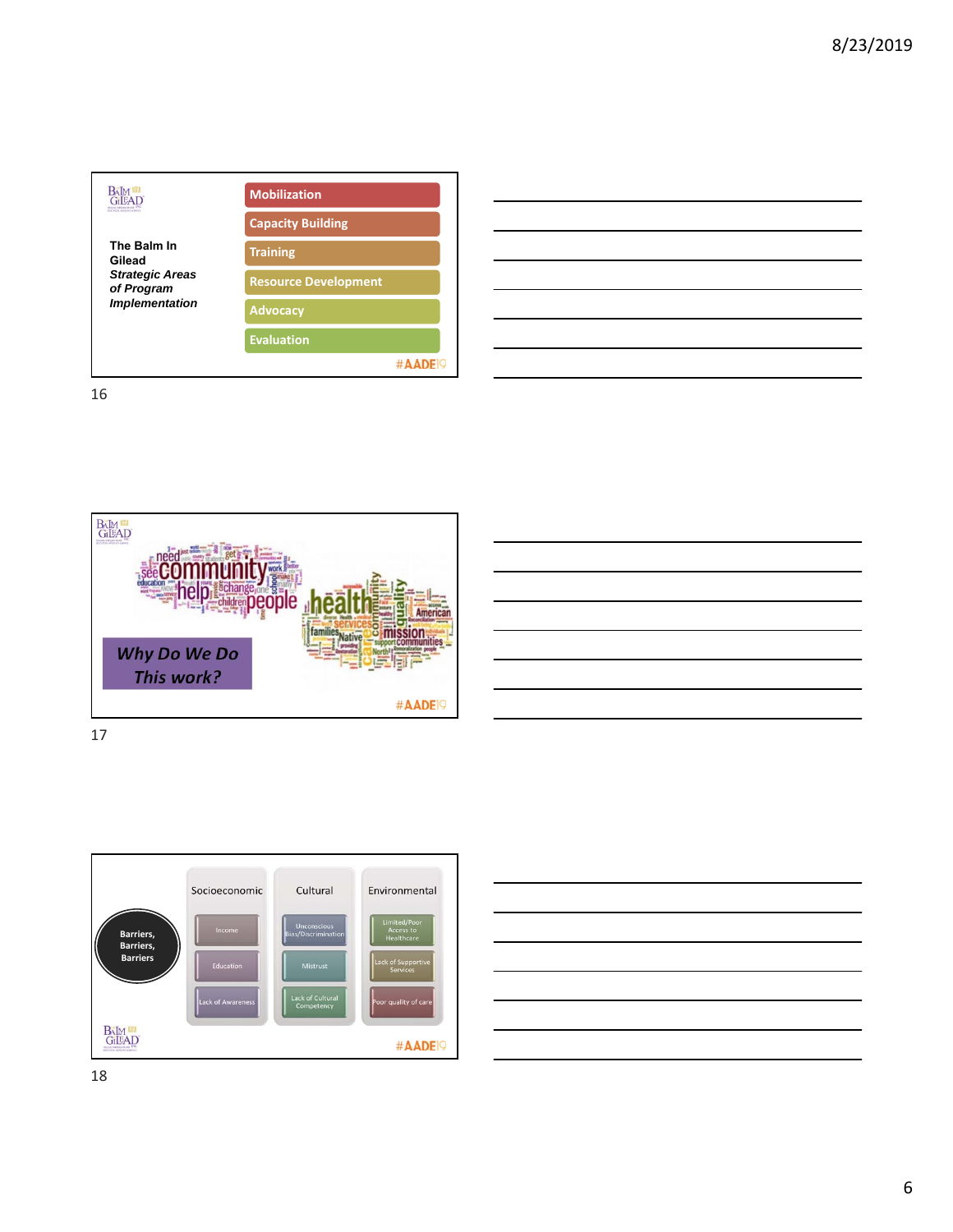

| <u>se a componente de la componente de la componente de la componente de la componente de la componente de la com</u>                                                                                                                |  |
|--------------------------------------------------------------------------------------------------------------------------------------------------------------------------------------------------------------------------------------|--|
|                                                                                                                                                                                                                                      |  |
| $\overline{\phantom{a}}$                                                                                                                                                                                                             |  |
| <u>. In the contract of the contract of the contract of the contract of the contract of the contract of the contract of the contract of the contract of the contract of the contract of the contract of the contract of the cont</u> |  |
| <u> 1989 - Johann Barnett, fransk politiker (d. 1989)</u>                                                                                                                                                                            |  |



17

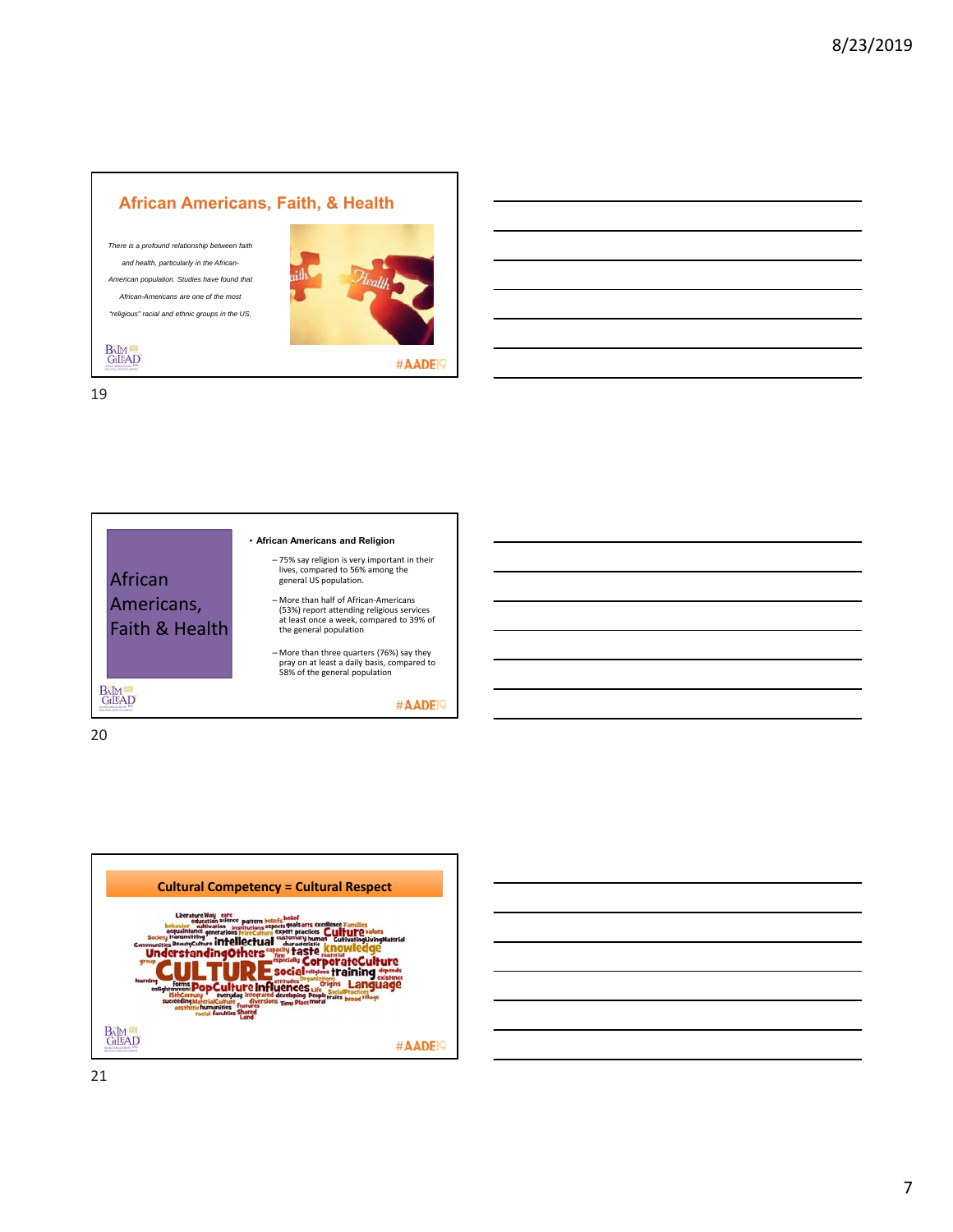### **African Americans, Faith, & Health**

*There is a profound relationship between faith and health, particularly in the African-American population. Studies have found that African-Americans are one of the most "religious" racial and ethnic groups in the US.* 



#AADE<sup>19</sup>

19

**BAM**<br>GILEAD



20



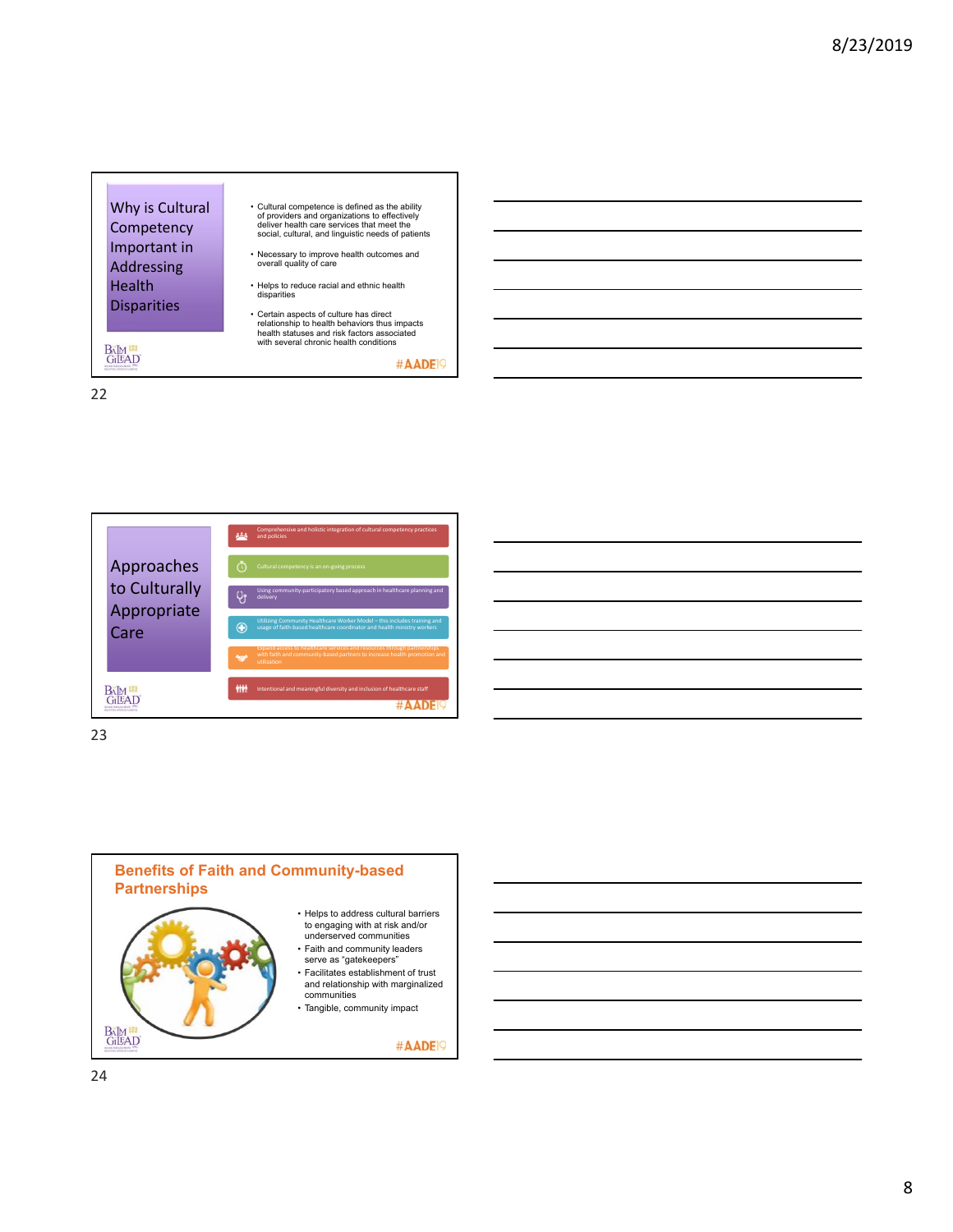





23

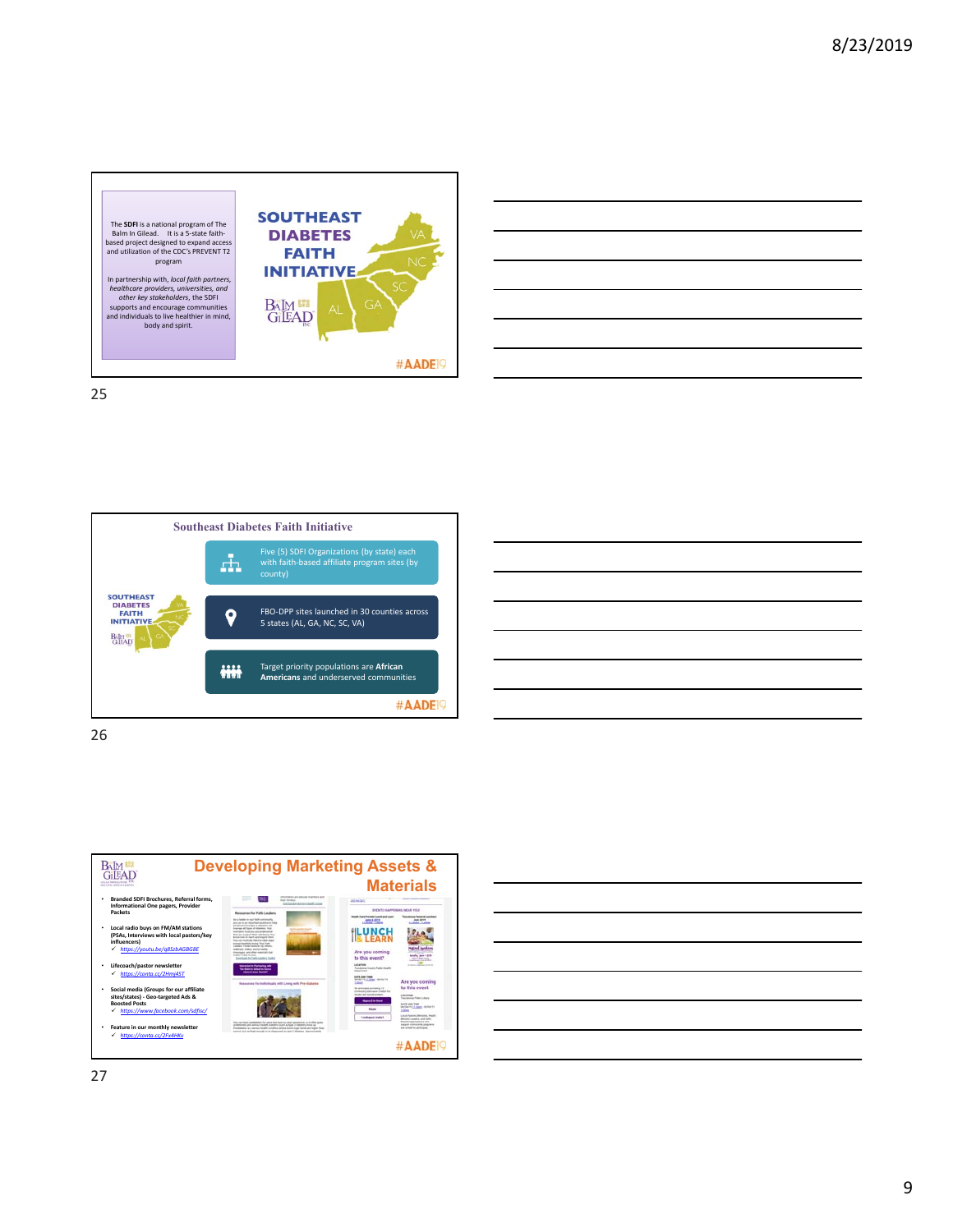









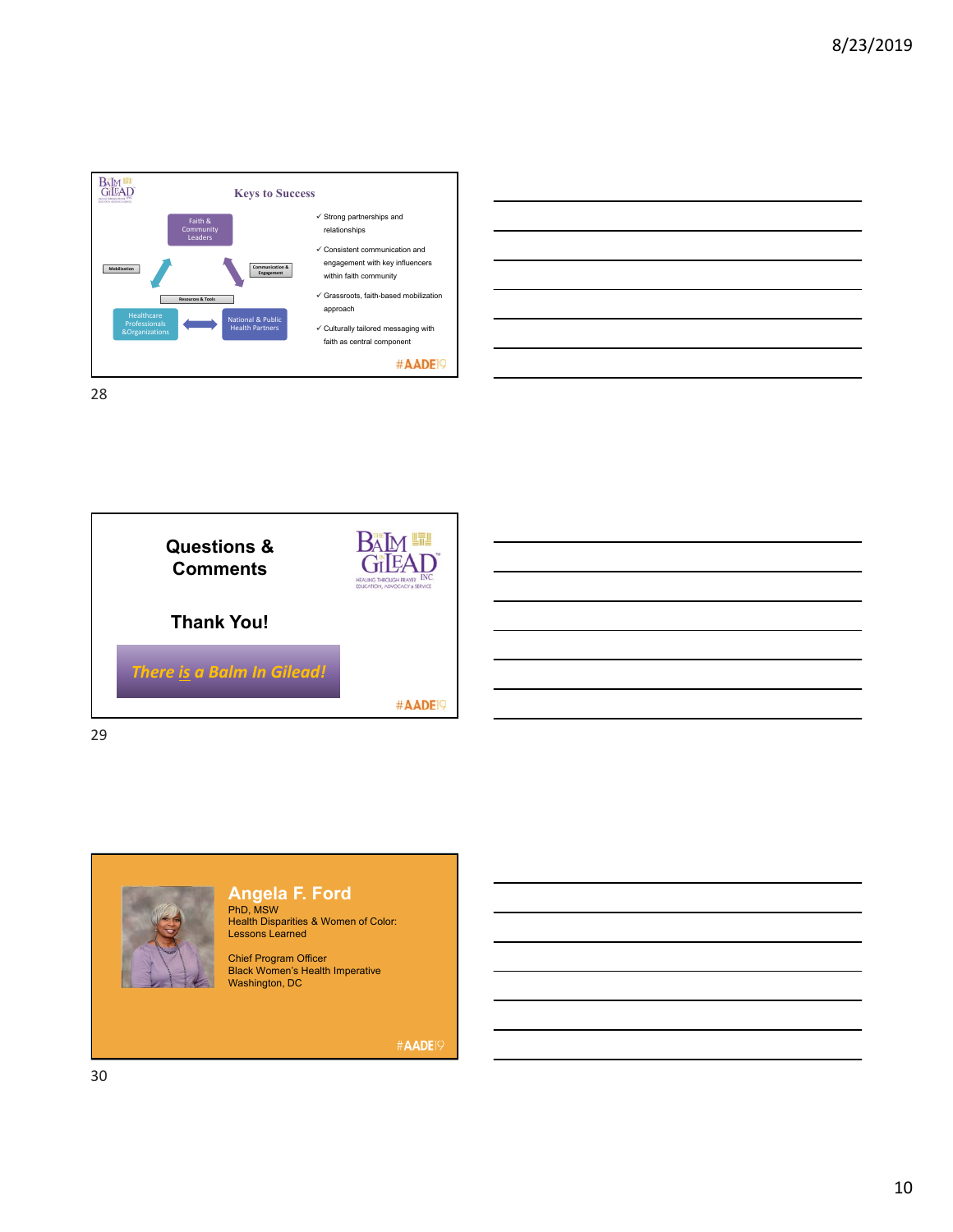





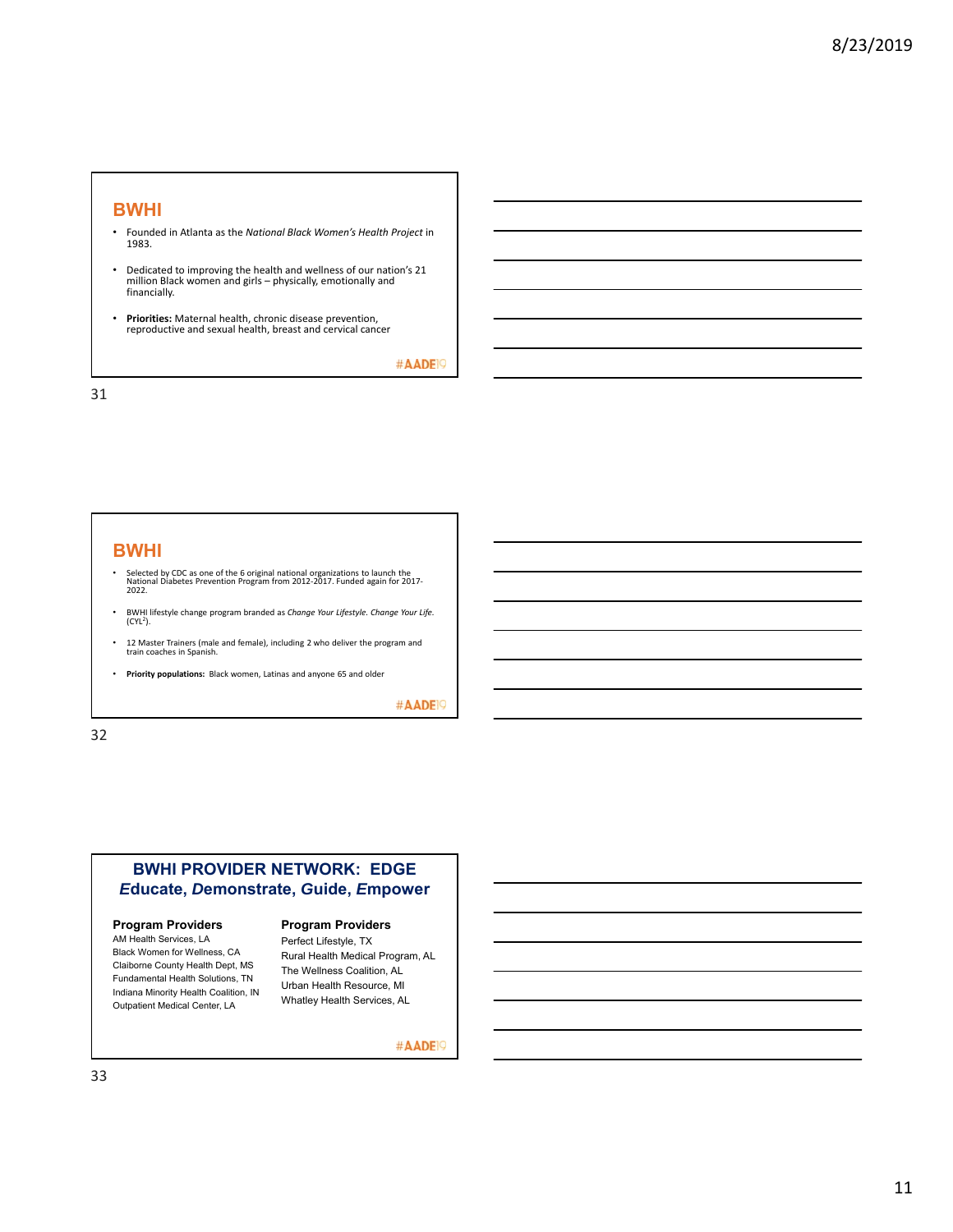#### **BWHI**

- Founded in Atlanta as the *National Black Women's Health Project* in 1983.
- Dedicated to improving the health and wellness of our nation's 21 million Black women and girls – physically, emotionally and financially.
- **Priorities:** Maternal health, chronic disease prevention, reproductive and sexual health, breast and cervical cancer

#AADE<sup>19</sup>

31

#### **BWHI**

- Selected by CDC as one of the 6 original national organizations to launch the<br>National Diabetes Prevention Program from 2012‐2017. Funded again for 2017‐<br>2022.
- BWHI lifestyle change program branded as *Change Your Lifestyle. Change Your Life.*  (CYL2).
- 12 Master Trainers (male and female), including 2 who deliver the program and train coaches in Spanish.
- **Priority populations:** Black women, Latinas and anyone 65 and older

#AADE<sup>19</sup>

32

### **BWHI PROVIDER NETWORK: EDGE** *E***ducate,** *D***emonstrate,** *G***uide,** *E***mpower**

#### **Program Providers**

AM Health Services, LA Black Women for Wellness, CA Claiborne County Health Dept, MS Fundamental Health Solutions, TN Indiana Minority Health Coalition, IN Outpatient Medical Center, LA

## **Program Providers**

Perfect Lifestyle, TX Rural Health Medical Program, AL The Wellness Coalition, AL Urban Health Resource, MI Whatley Health Services, AL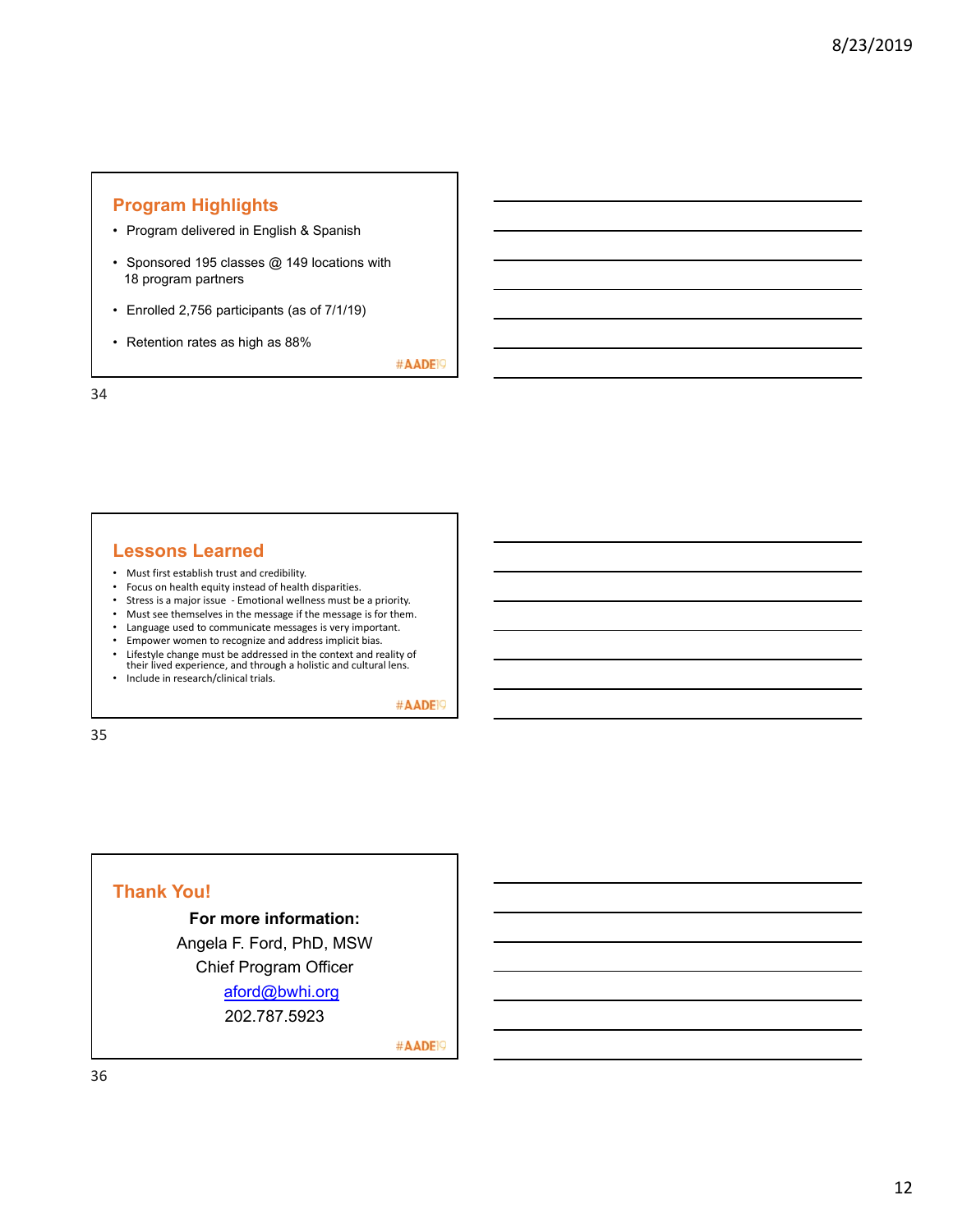## **Program Highlights**

- Program delivered in English & Spanish
- Sponsored 195 classes @ 149 locations with 18 program partners
- Enrolled 2,756 participants (as of 7/1/19)
- Retention rates as high as 88%

#AADE<sup>19</sup>

34

## **Lessons Learned**

- Must first establish trust and credibility.
- Focus on health equity instead of health disparities.
- Stress is a major issue ‐ Emotional wellness must be a priority.
- Must see themselves in the message if the message is for them.
- Language used to communicate messages is very important.<br>• Empower women to recognize and address implicit bias.
- Empower women to recognize and address implicit bias. • Lifestyle change must be addressed in the context and reality of their lived experience, and through a holistic and cultural lens.
- Include in research/clinical trials.

#AADE<sup>19</sup>

35

## **Thank You!**

#### **For more information:**

Angela F. Ford, PhD, MSW Chief Program Officer aford@bwhi.org 202.787.5923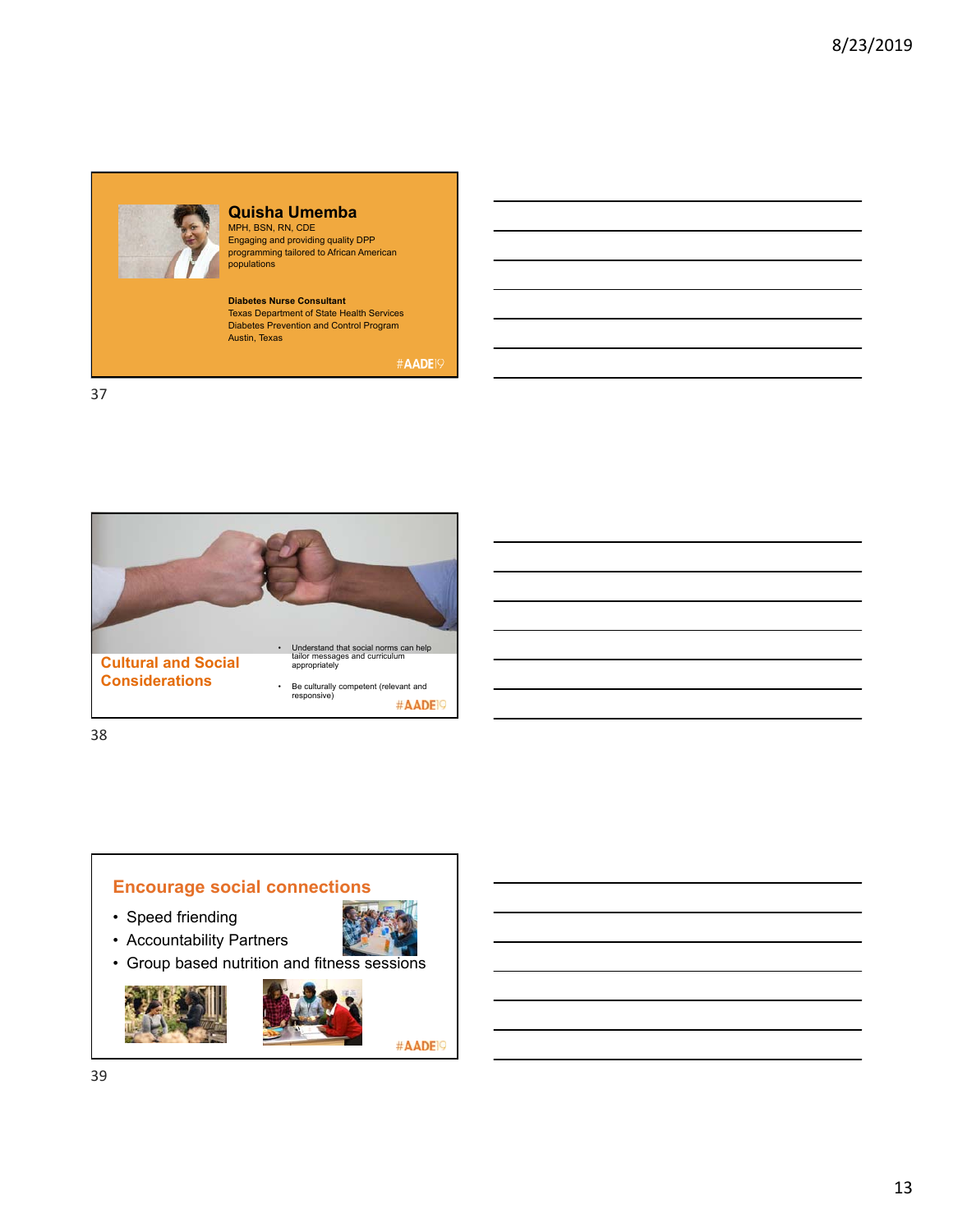

## **Quisha Umemba**

MPH, BSN, RN, CDE Engaging and providing quality DPP programming tailored to African American populations

**Diabetes Nurse Consultant** Texas Department of State Health Services Diabetes Prevention and Control Program Austin, Texas

#AADE<sup>19</sup>

37



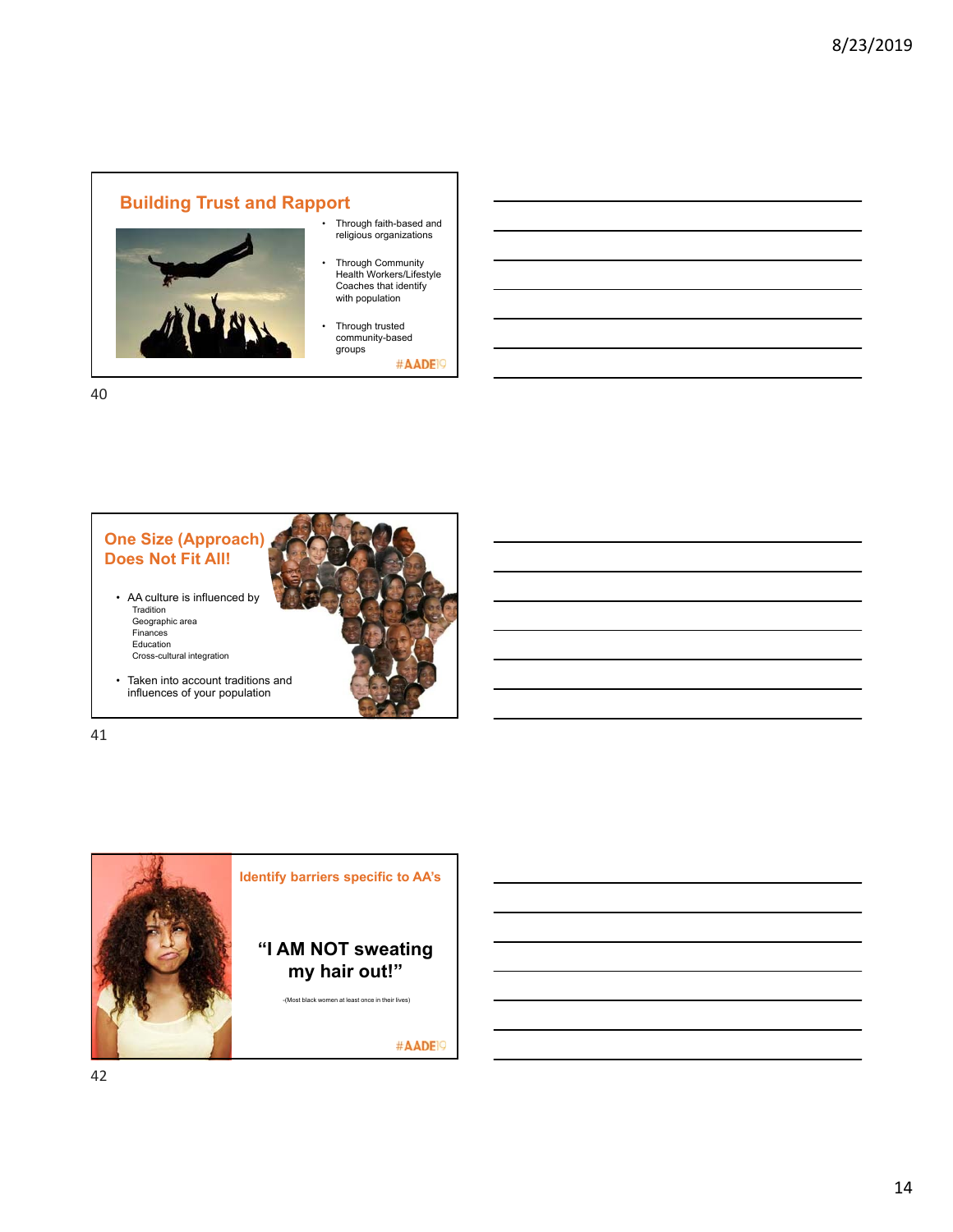# **Building Trust and Rapport**



- Through faith-based and religious organizations
- Through Community Health Workers/Lifestyle Coaches that identify with population
- Through trusted community-based groups

#AADE<sup>19</sup>

40



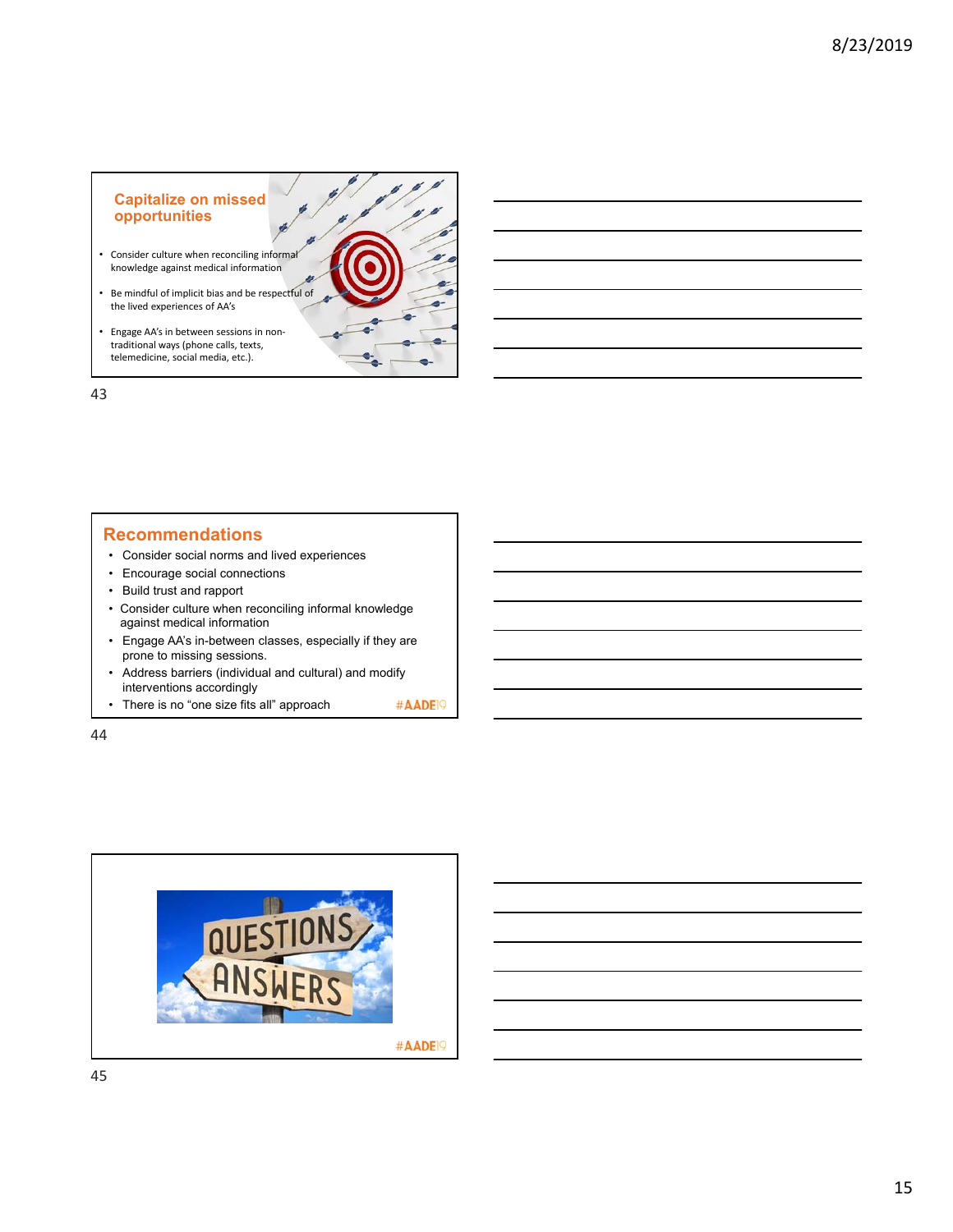### **Capitalize on missed opportunities**

- Consider culture when reconciling informal knowledge against medical information
- Be mindful of implicit bias and be respectful of the lived experiences of AA's
- Engage AA's in between sessions in non‐ traditional ways (phone calls, texts, telemedicine, social media, etc.).

43

### **Recommendations**

- Consider social norms and lived experiences
- Encourage social connections
- Build trust and rapport
- Consider culture when reconciling informal knowledge against medical information
- Engage AA's in-between classes, especially if they are prone to missing sessions.
- Address barriers (individual and cultural) and modify interventions accordingly
- There is no "one size fits all" approach #AADE<sup>19</sup>